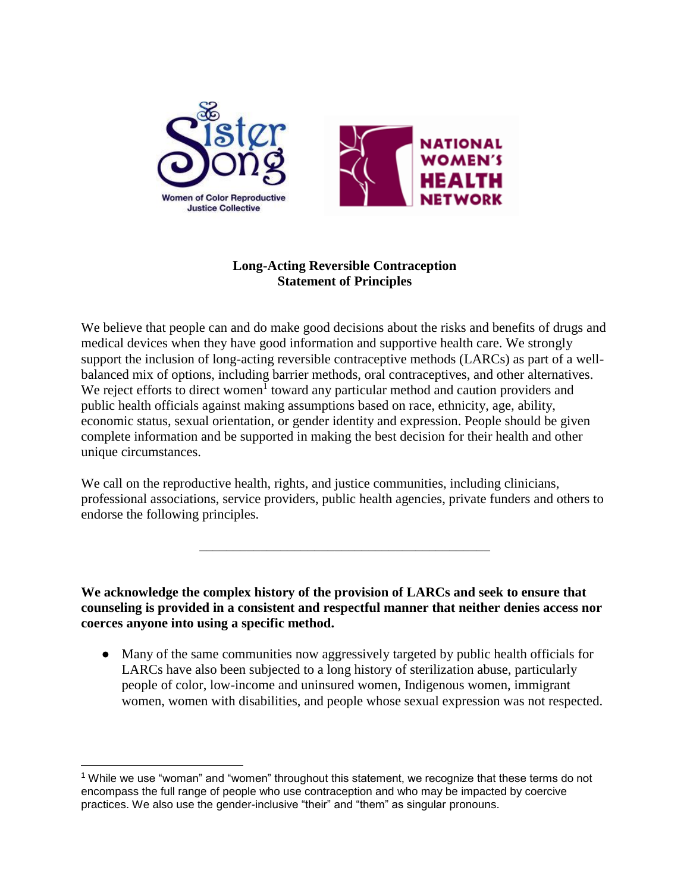



# **Long-Acting Reversible Contraception Statement of Principles**

We believe that people can and do make good decisions about the risks and benefits of drugs and medical devices when they have good information and supportive health care. We strongly support the inclusion of long-acting reversible contraceptive methods (LARCs) as part of a wellbalanced mix of options, including barrier methods, oral contraceptives, and other alternatives. We reject efforts to direct women<sup>1</sup> toward any particular method and caution providers and public health officials against making assumptions based on race, ethnicity, age, ability, economic status, sexual orientation, or gender identity and expression. People should be given complete information and be supported in making the best decision for their health and other unique circumstances.

We call on the reproductive health, rights, and justice communities, including clinicians, professional associations, service providers, public health agencies, private funders and others to endorse the following principles.

\_\_\_\_\_\_\_\_\_\_\_\_\_\_\_\_\_\_\_\_\_\_\_\_\_\_\_\_\_\_\_\_\_\_\_\_\_\_\_\_\_\_\_

**We acknowledge the complex history of the provision of LARCs and seek to ensure that counseling is provided in a consistent and respectful manner that neither denies access nor coerces anyone into using a specific method.** 

● Many of the same communities now aggressively targeted by public health officials for LARCs have also been subjected to a long history of sterilization abuse, particularly people of color, low-income and uninsured women, Indigenous women, immigrant women, women with disabilities, and people whose sexual expression was not respected.

 $1$  While we use "woman" and "women" throughout this statement, we recognize that these terms do not encompass the full range of people who use contraception and who may be impacted by coercive practices. We also use the gender-inclusive "their" and "them" as singular pronouns.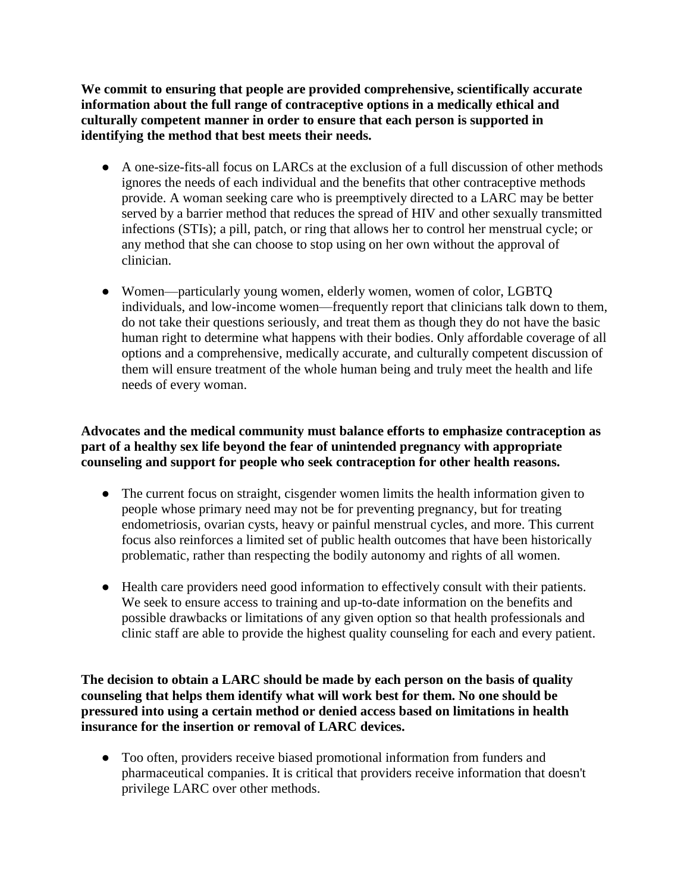**We commit to ensuring that people are provided comprehensive, scientifically accurate information about the full range of contraceptive options in a medically ethical and culturally competent manner in order to ensure that each person is supported in identifying the method that best meets their needs.** 

- A one-size-fits-all focus on LARCs at the exclusion of a full discussion of other methods ignores the needs of each individual and the benefits that other contraceptive methods provide. A woman seeking care who is preemptively directed to a LARC may be better served by a barrier method that reduces the spread of HIV and other sexually transmitted infections (STIs); a pill, patch, or ring that allows her to control her menstrual cycle; or any method that she can choose to stop using on her own without the approval of clinician.
- Women—particularly young women, elderly women, women of color, LGBTQ individuals, and low-income women—frequently report that clinicians talk down to them, do not take their questions seriously, and treat them as though they do not have the basic human right to determine what happens with their bodies. Only affordable coverage of all options and a comprehensive, medically accurate, and culturally competent discussion of them will ensure treatment of the whole human being and truly meet the health and life needs of every woman.

### **Advocates and the medical community must balance efforts to emphasize contraception as part of a healthy sex life beyond the fear of unintended pregnancy with appropriate counseling and support for people who seek contraception for other health reasons.**

- The current focus on straight, cisgender women limits the health information given to people whose primary need may not be for preventing pregnancy, but for treating endometriosis, ovarian cysts, heavy or painful menstrual cycles, and more. This current focus also reinforces a limited set of public health outcomes that have been historically problematic, rather than respecting the bodily autonomy and rights of all women.
- Health care providers need good information to effectively consult with their patients. We seek to ensure access to training and up-to-date information on the benefits and possible drawbacks or limitations of any given option so that health professionals and clinic staff are able to provide the highest quality counseling for each and every patient.

**The decision to obtain a LARC should be made by each person on the basis of quality counseling that helps them identify what will work best for them. No one should be pressured into using a certain method or denied access based on limitations in health insurance for the insertion or removal of LARC devices.** 

● Too often, providers receive biased promotional information from funders and pharmaceutical companies. It is critical that providers receive information that doesn't privilege LARC over other methods.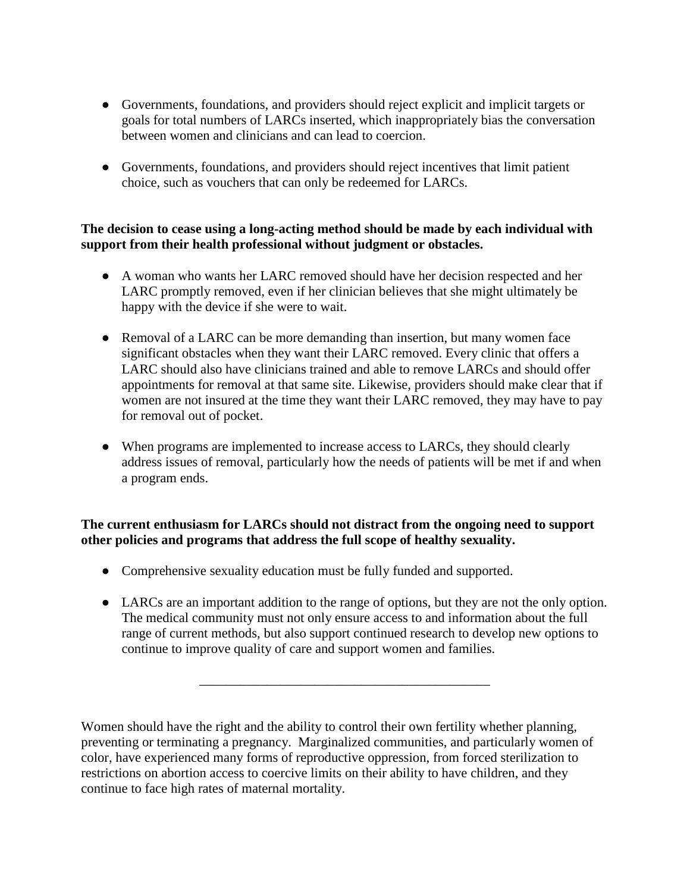- Governments, foundations, and providers should reject explicit and implicit targets or goals for total numbers of LARCs inserted, which inappropriately bias the conversation between women and clinicians and can lead to coercion.
- Governments, foundations, and providers should reject incentives that limit patient choice, such as vouchers that can only be redeemed for LARCs.

### **The decision to cease using a long-acting method should be made by each individual with support from their health professional without judgment or obstacles.**

- A woman who wants her LARC removed should have her decision respected and her LARC promptly removed, even if her clinician believes that she might ultimately be happy with the device if she were to wait.
- Removal of a LARC can be more demanding than insertion, but many women face significant obstacles when they want their LARC removed. Every clinic that offers a LARC should also have clinicians trained and able to remove LARCs and should offer appointments for removal at that same site. Likewise, providers should make clear that if women are not insured at the time they want their LARC removed, they may have to pay for removal out of pocket.
- When programs are implemented to increase access to LARCs, they should clearly address issues of removal, particularly how the needs of patients will be met if and when a program ends.

# **The current enthusiasm for LARCs should not distract from the ongoing need to support other policies and programs that address the full scope of healthy sexuality.**

- Comprehensive sexuality education must be fully funded and supported.
- LARCs are an important addition to the range of options, but they are not the only option. The medical community must not only ensure access to and information about the full range of current methods, but also support continued research to develop new options to continue to improve quality of care and support women and families.

\_\_\_\_\_\_\_\_\_\_\_\_\_\_\_\_\_\_\_\_\_\_\_\_\_\_\_\_\_\_\_\_\_\_\_\_\_\_\_\_\_\_\_

Women should have the right and the ability to control their own fertility whether planning, preventing or terminating a pregnancy. Marginalized communities, and particularly women of color, have experienced many forms of reproductive oppression, from forced sterilization to restrictions on abortion access to coercive limits on their ability to have children, and they continue to face high rates of maternal mortality.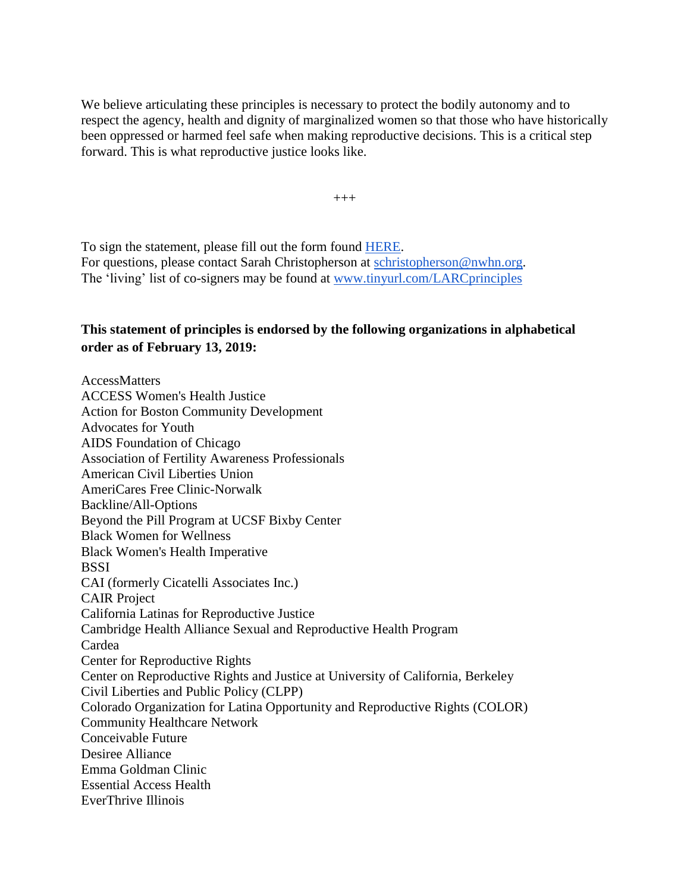We believe articulating these principles is necessary to protect the bodily autonomy and to respect the agency, health and dignity of marginalized women so that those who have historically been oppressed or harmed feel safe when making reproductive decisions. This is a critical step forward. This is what reproductive justice looks like.

 $^{+++}$ 

To sign the statement, please fill out the form found [HERE.](https://docs.google.com/forms/d/e/1FAIpQLScMnHOiYg_qxhlHoFpCKf3SVx6DMNRU5e6Bd7uYtt-PvWcUQQ/viewform) For questions, please contact Sarah Christopherson at [schristopherson@nwhn.org.](mailto:schristopherson@nwhn.org) The 'living' list of co-signers may be found at [www.tinyurl.com/LARCprinciples](http://www.tinyurl.com/LARCprinciples)

## **This statement of principles is endorsed by the following organizations in alphabetical order as of February 13, 2019:**

AccessMatters ACCESS Women's Health Justice Action for Boston Community Development Advocates for Youth AIDS Foundation of Chicago Association of Fertility Awareness Professionals American Civil Liberties Union AmeriCares Free Clinic-Norwalk Backline/All-Options Beyond the Pill Program at UCSF Bixby Center Black Women for Wellness Black Women's Health Imperative **BSSI** CAI (formerly Cicatelli Associates Inc.) CAIR Project California Latinas for Reproductive Justice Cambridge Health Alliance Sexual and Reproductive Health Program Cardea Center for Reproductive Rights Center on Reproductive Rights and Justice at University of California, Berkeley Civil Liberties and Public Policy (CLPP) Colorado Organization for Latina Opportunity and Reproductive Rights (COLOR) Community Healthcare Network Conceivable Future Desiree Alliance Emma Goldman Clinic Essential Access Health EverThrive Illinois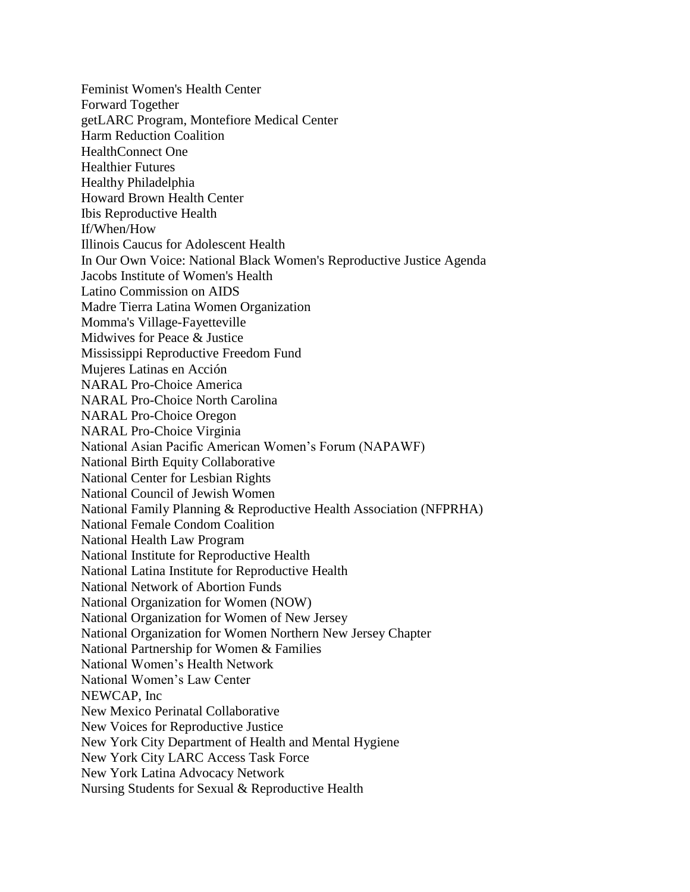Feminist Women's Health Center Forward Together getLARC Program, Montefiore Medical Center Harm Reduction Coalition HealthConnect One Healthier Futures Healthy Philadelphia Howard Brown Health Center Ibis Reproductive Health If/When/How Illinois Caucus for Adolescent Health In Our Own Voice: National Black Women's Reproductive Justice Agenda Jacobs Institute of Women's Health Latino Commission on AIDS Madre Tierra Latina Women Organization Momma's Village-Fayetteville Midwives for Peace & Justice Mississippi Reproductive Freedom Fund Mujeres Latinas en Acción NARAL Pro-Choice America NARAL Pro-Choice North Carolina NARAL Pro-Choice Oregon NARAL Pro-Choice Virginia National Asian Pacific American Women's Forum (NAPAWF) National Birth Equity Collaborative National Center for Lesbian Rights National Council of Jewish Women National Family Planning & Reproductive Health Association (NFPRHA) National Female Condom Coalition National Health Law Program National Institute for Reproductive Health National Latina Institute for Reproductive Health National Network of Abortion Funds National Organization for Women (NOW) National Organization for Women of New Jersey National Organization for Women Northern New Jersey Chapter National Partnership for Women & Families National Women's Health Network National Women's Law Center NEWCAP, Inc New Mexico Perinatal Collaborative New Voices for Reproductive Justice New York City Department of Health and Mental Hygiene New York City LARC Access Task Force New York Latina Advocacy Network Nursing Students for Sexual & Reproductive Health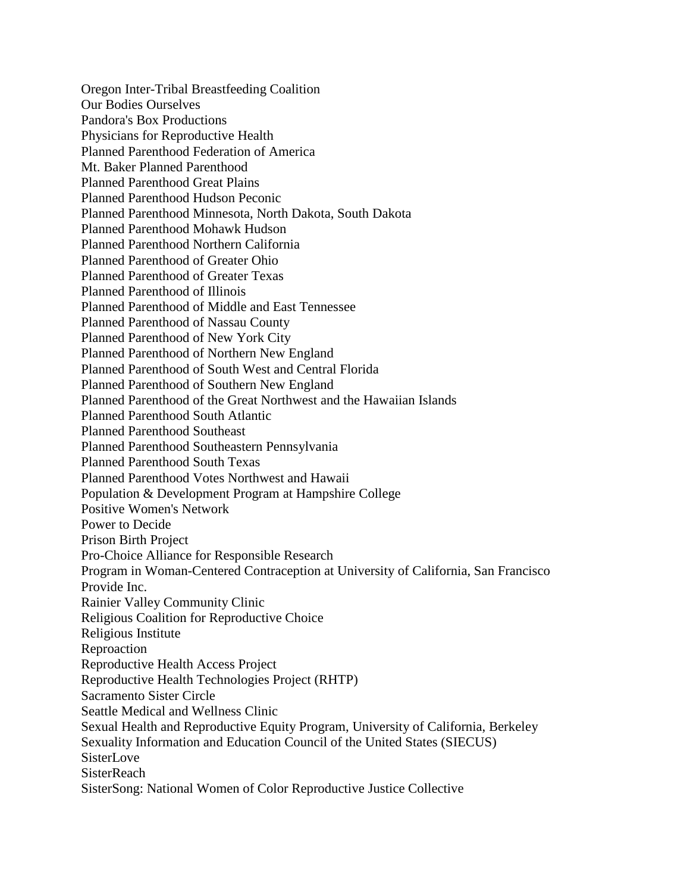Oregon Inter-Tribal Breastfeeding Coalition Our Bodies Ourselves Pandora's Box Productions Physicians for Reproductive Health Planned Parenthood Federation of America Mt. Baker Planned Parenthood Planned Parenthood Great Plains Planned Parenthood Hudson Peconic Planned Parenthood Minnesota, North Dakota, South Dakota Planned Parenthood Mohawk Hudson Planned Parenthood Northern California Planned Parenthood of Greater Ohio Planned Parenthood of Greater Texas Planned Parenthood of Illinois Planned Parenthood of Middle and East Tennessee Planned Parenthood of Nassau County Planned Parenthood of New York City Planned Parenthood of Northern New England Planned Parenthood of South West and Central Florida Planned Parenthood of Southern New England Planned Parenthood of the Great Northwest and the Hawaiian Islands Planned Parenthood South Atlantic Planned Parenthood Southeast Planned Parenthood Southeastern Pennsylvania Planned Parenthood South Texas Planned Parenthood Votes Northwest and Hawaii Population & Development Program at Hampshire College Positive Women's Network Power to Decide Prison Birth Project Pro-Choice Alliance for Responsible Research Program in Woman-Centered Contraception at University of California, San Francisco Provide Inc. Rainier Valley Community Clinic Religious Coalition for Reproductive Choice Religious Institute Reproaction Reproductive Health Access Project Reproductive Health Technologies Project (RHTP) Sacramento Sister Circle Seattle Medical and Wellness Clinic Sexual Health and Reproductive Equity Program, University of California, Berkeley Sexuality Information and Education Council of the United States (SIECUS) **SisterLove SisterReach** SisterSong: National Women of Color Reproductive Justice Collective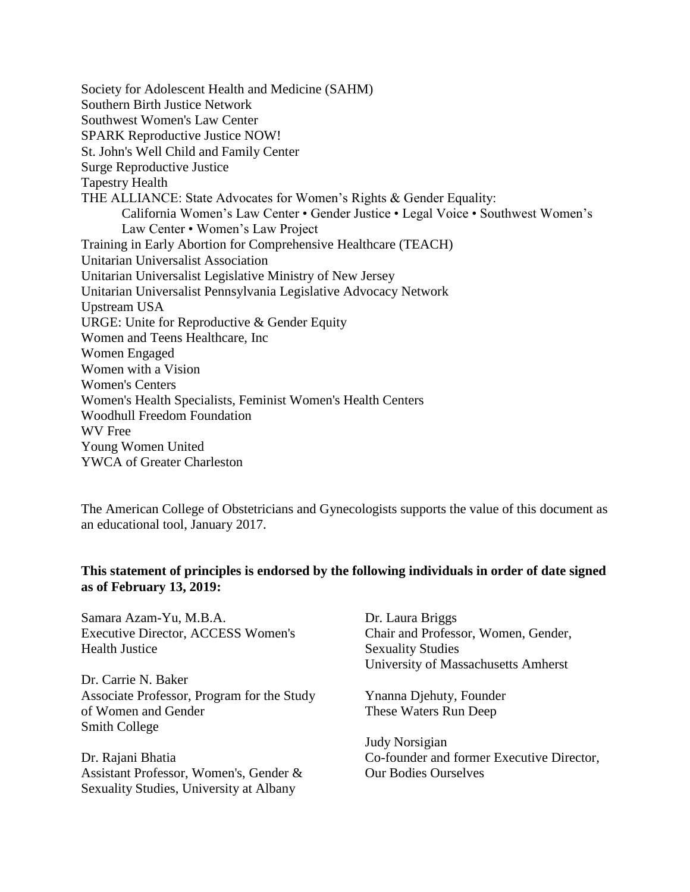Society for Adolescent Health and Medicine (SAHM) Southern Birth Justice Network Southwest Women's Law Center SPARK Reproductive Justice NOW! St. John's Well Child and Family Center Surge Reproductive Justice Tapestry Health THE ALLIANCE: State Advocates for Women's Rights & Gender Equality: California Women's Law Center • Gender Justice • Legal Voice • Southwest Women's Law Center • Women's Law Project Training in Early Abortion for Comprehensive Healthcare (TEACH) Unitarian Universalist Association Unitarian Universalist Legislative Ministry of New Jersey Unitarian Universalist Pennsylvania Legislative Advocacy Network Upstream USA URGE: Unite for Reproductive & Gender Equity Women and Teens Healthcare, Inc Women Engaged Women with a Vision Women's Centers Women's Health Specialists, Feminist Women's Health Centers Woodhull Freedom Foundation WV Free Young Women United YWCA of Greater Charleston

The American College of Obstetricians and Gynecologists supports the value of this document as an educational tool, January 2017.

#### **This statement of principles is endorsed by the following individuals in order of date signed as of February 13, 2019:**

Samara Azam-Yu, M.B.A. Executive Director, ACCESS Women's Health Justice

Dr. Carrie N. Baker Associate Professor, Program for the Study of Women and Gender Smith College

Dr. Rajani Bhatia Assistant Professor, Women's, Gender & Sexuality Studies, University at Albany

Dr. Laura Briggs Chair and Professor, Women, Gender, Sexuality Studies University of Massachusetts Amherst

Ynanna Djehuty, Founder These Waters Run Deep

Judy Norsigian Co-founder and former Executive Director, Our Bodies Ourselves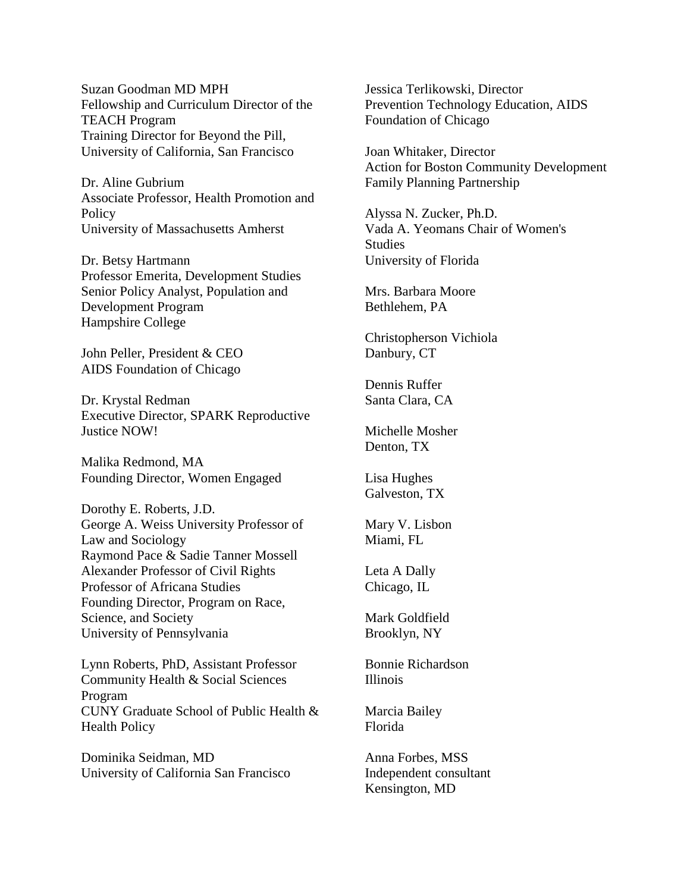Suzan Goodman MD MPH Fellowship and Curriculum Director of the TEACH Program Training Director for Beyond the Pill, University of California, San Francisco

Dr. Aline Gubrium Associate Professor, Health Promotion and **Policy** University of Massachusetts Amherst

Dr. Betsy Hartmann Professor Emerita, Development Studies Senior Policy Analyst, Population and Development Program Hampshire College

John Peller, President & CEO AIDS Foundation of Chicago

Dr. Krystal Redman Executive Director, SPARK Reproductive Justice NOW!

Malika Redmond, MA Founding Director, Women Engaged

Dorothy E. Roberts, J.D. George A. Weiss University Professor of Law and Sociology Raymond Pace & Sadie Tanner Mossell Alexander Professor of Civil Rights Professor of Africana Studies Founding Director, Program on Race, Science, and Society University of Pennsylvania

Lynn Roberts, PhD, Assistant Professor Community Health & Social Sciences Program CUNY Graduate School of Public Health & Health Policy

Dominika Seidman, MD University of California San Francisco Jessica Terlikowski, Director Prevention Technology Education, AIDS Foundation of Chicago

Joan Whitaker, Director Action for Boston Community Development Family Planning Partnership

Alyssa N. Zucker, Ph.D. Vada A. Yeomans Chair of Women's **Studies** University of Florida

Mrs. Barbara Moore Bethlehem, PA

Christopherson Vichiola Danbury, CT

Dennis Ruffer Santa Clara, CA

Michelle Mosher Denton, TX

Lisa Hughes Galveston, TX

Mary V. Lisbon Miami, FL

Leta A Dally Chicago, IL

Mark Goldfield Brooklyn, NY

Bonnie Richardson Illinois

Marcia Bailey Florida

Anna Forbes, MSS Independent consultant Kensington, MD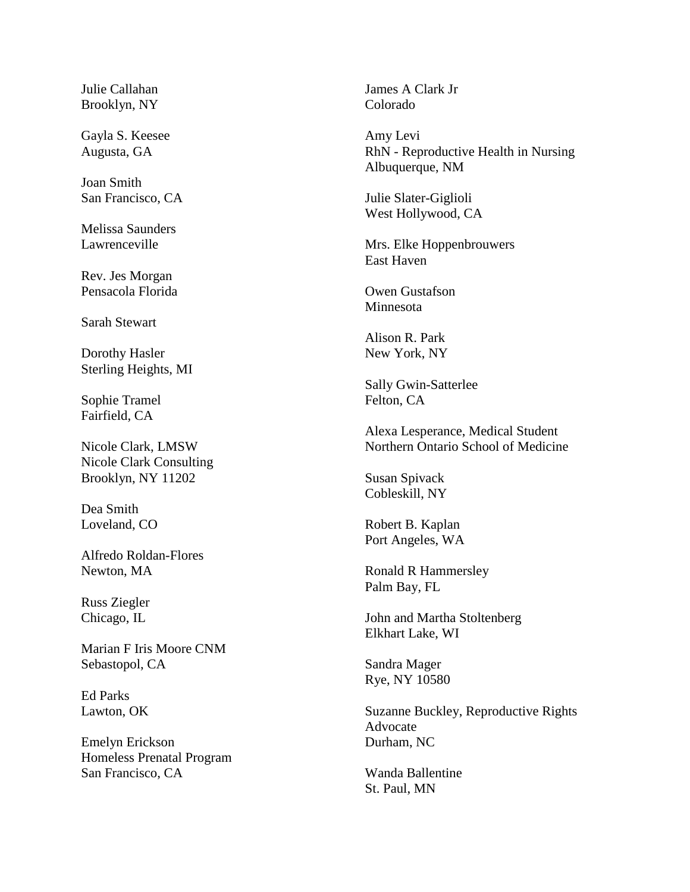Julie Callahan Brooklyn, NY

Gayla S. Keesee Augusta, GA

Joan Smith San Francisco, CA

Melissa Saunders Lawrenceville

Rev. Jes Morgan Pensacola Florida

Sarah Stewart

Dorothy Hasler Sterling Heights, MI

Sophie Tramel Fairfield, CA

Nicole Clark, LMSW Nicole Clark Consulting Brooklyn, NY 11202

Dea Smith Loveland, CO

Alfredo Roldan-Flores Newton, MA

Russ Ziegler Chicago, IL

Marian F Iris Moore CNM Sebastopol, CA

Ed Parks Lawton, OK

Emelyn Erickson Homeless Prenatal Program San Francisco, CA

James A Clark Jr Colorado

Amy Levi RhN - Reproductive Health in Nursing Albuquerque, NM

Julie Slater-Giglioli West Hollywood, CA

Mrs. Elke Hoppenbrouwers East Haven

Owen Gustafson Minnesota

Alison R. Park New York, NY

Sally Gwin-Satterlee Felton, CA

Alexa Lesperance, Medical Student Northern Ontario School of Medicine

Susan Spivack Cobleskill, NY

Robert B. Kaplan Port Angeles, WA

Ronald R Hammersley Palm Bay, FL

John and Martha Stoltenberg Elkhart Lake, WI

Sandra Mager Rye, NY 10580

Suzanne Buckley, Reproductive Rights Advocate Durham, NC

Wanda Ballentine St. Paul, MN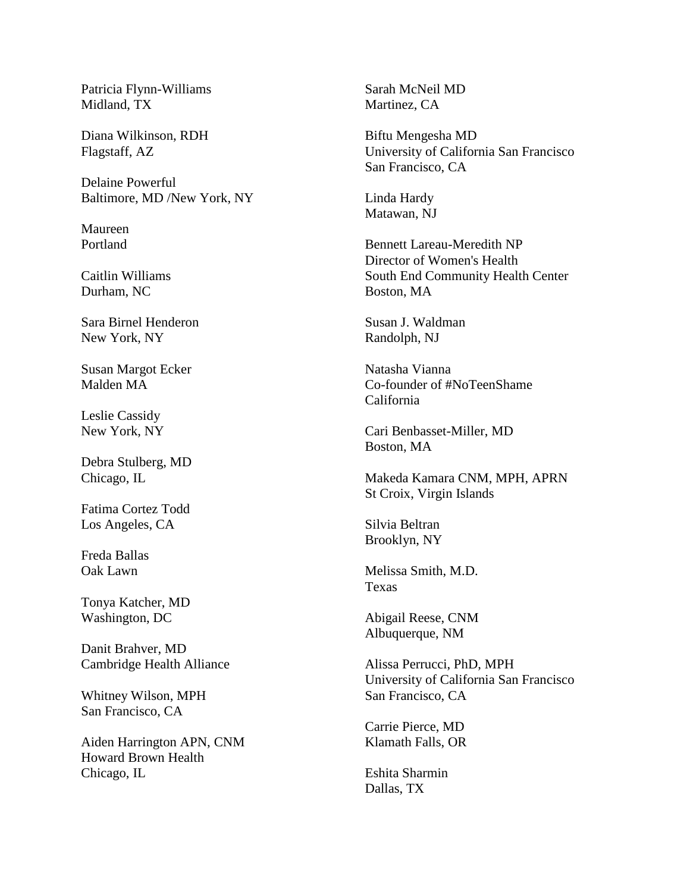Patricia Flynn-Williams Midland, TX

Diana Wilkinson, RDH Flagstaff, AZ

Delaine Powerful Baltimore, MD /New York, NY

Maureen Portland

Caitlin Williams Durham, NC

Sara Birnel Henderon New York, NY

Susan Margot Ecker Malden MA

Leslie Cassidy New York, NY

Debra Stulberg, MD Chicago, IL

Fatima Cortez Todd Los Angeles, CA

Freda Ballas Oak Lawn

Tonya Katcher, MD Washington, DC

Danit Brahver, MD Cambridge Health Alliance

Whitney Wilson, MPH San Francisco, CA

Aiden Harrington APN, CNM Howard Brown Health Chicago, IL

Sarah McNeil MD Martinez, CA

Biftu Mengesha MD University of California San Francisco San Francisco, CA

Linda Hardy Matawan, NJ

Bennett Lareau-Meredith NP Director of Women's Health South End Community Health Center Boston, MA

Susan J. Waldman Randolph, NJ

Natasha Vianna Co-founder of #NoTeenShame California

Cari Benbasset-Miller, MD Boston, MA

Makeda Kamara CNM, MPH, APRN St Croix, Virgin Islands

Silvia Beltran Brooklyn, NY

Melissa Smith, M.D. Texas

Abigail Reese, CNM Albuquerque, NM

Alissa Perrucci, PhD, MPH University of California San Francisco San Francisco, CA

Carrie Pierce, MD Klamath Falls, OR

Eshita Sharmin Dallas, TX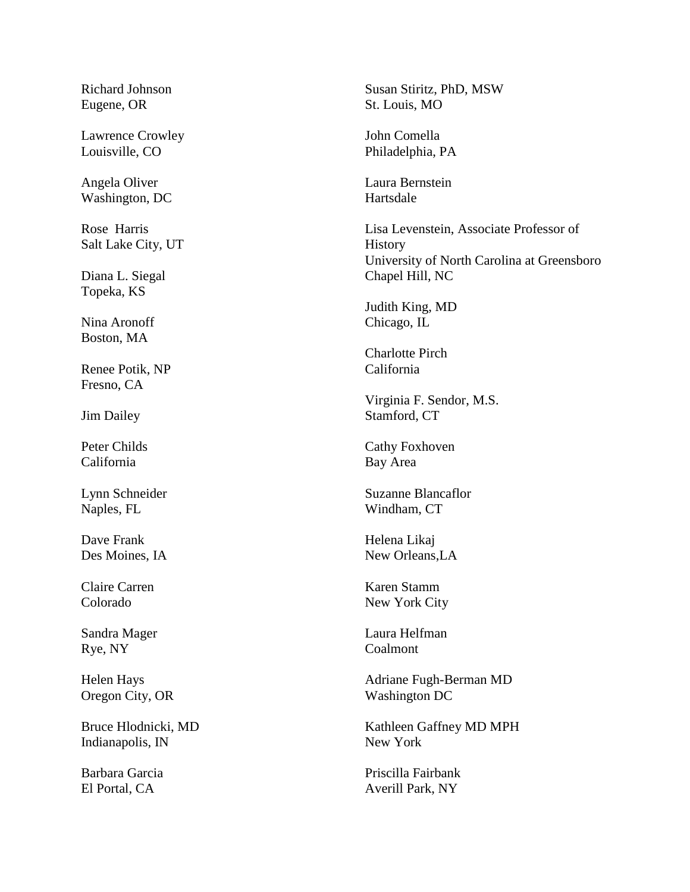Richard Johnson Eugene, OR

Lawrence Crowley Louisville, CO

Angela Oliver Washington, DC

Rose Harris Salt Lake City, UT

Diana L. Siegal Topeka, KS

Nina Aronoff Boston, MA

Renee Potik, NP Fresno, CA

Jim Dailey

Peter Childs California

Lynn Schneider Naples, FL

Dave Frank Des Moines, IA

Claire Carren Colorado

Sandra Mager Rye, NY

Helen Hays Oregon City, OR

Bruce Hlodnicki, MD Indianapolis, IN

Barbara Garcia El Portal, CA

Susan Stiritz, PhD, MSW St. Louis, MO

John Comella Philadelphia, PA

Laura Bernstein Hartsdale

Lisa Levenstein, Associate Professor of History University of North Carolina at Greensboro Chapel Hill, NC

Judith King, MD Chicago, IL

Charlotte Pirch California

Virginia F. Sendor, M.S. Stamford, CT

Cathy Foxhoven Bay Area

Suzanne Blancaflor Windham, CT

Helena Likaj New Orleans,LA

Karen Stamm New York City

Laura Helfman Coalmont

Adriane Fugh-Berman MD Washington DC

Kathleen Gaffney MD MPH New York

Priscilla Fairbank Averill Park, NY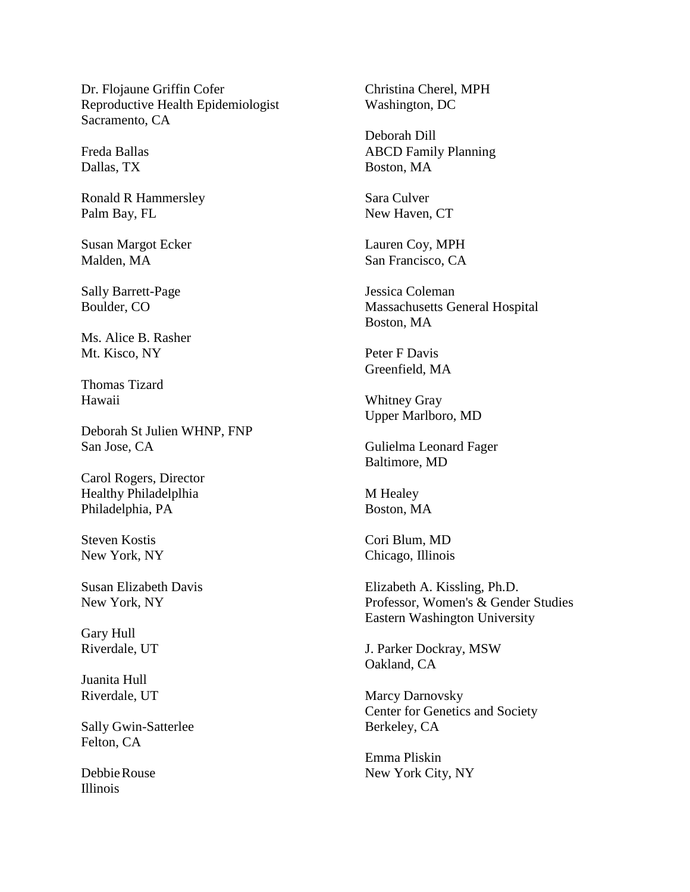Dr. Flojaune Griffin Cofer Reproductive Health Epidemiologist Sacramento, CA

Freda Ballas Dallas, TX

Ronald R Hammersley Palm Bay, FL

Susan Margot Ecker Malden, MA

Sally Barrett-Page Boulder, CO

Ms. Alice B. Rasher Mt. Kisco, NY

Thomas Tizard Hawaii

Deborah St Julien WHNP, FNP San Jose, CA

Carol Rogers, Director Healthy Philadelplhia Philadelphia, PA

Steven Kostis New York, NY

Susan Elizabeth Davis New York, NY

Gary Hull Riverdale, UT

Juanita Hull Riverdale, UT

Sally Gwin-Satterlee Felton, CA

DebbieRouse Illinois

Christina Cherel, MPH Washington, DC

Deborah Dill ABCD Family Planning Boston, MA

Sara Culver New Haven, CT

Lauren Coy, MPH San Francisco, CA

Jessica Coleman Massachusetts General Hospital Boston, MA

Peter F Davis Greenfield, MA

Whitney Gray Upper Marlboro, MD

Gulielma Leonard Fager Baltimore, MD

M Healey Boston, MA

Cori Blum, MD Chicago, Illinois

Elizabeth A. Kissling, Ph.D. Professor, Women's & Gender Studies Eastern Washington University

J. Parker Dockray, MSW Oakland, CA

Marcy Darnovsky Center for Genetics and Society Berkeley, CA

Emma Pliskin New York City, NY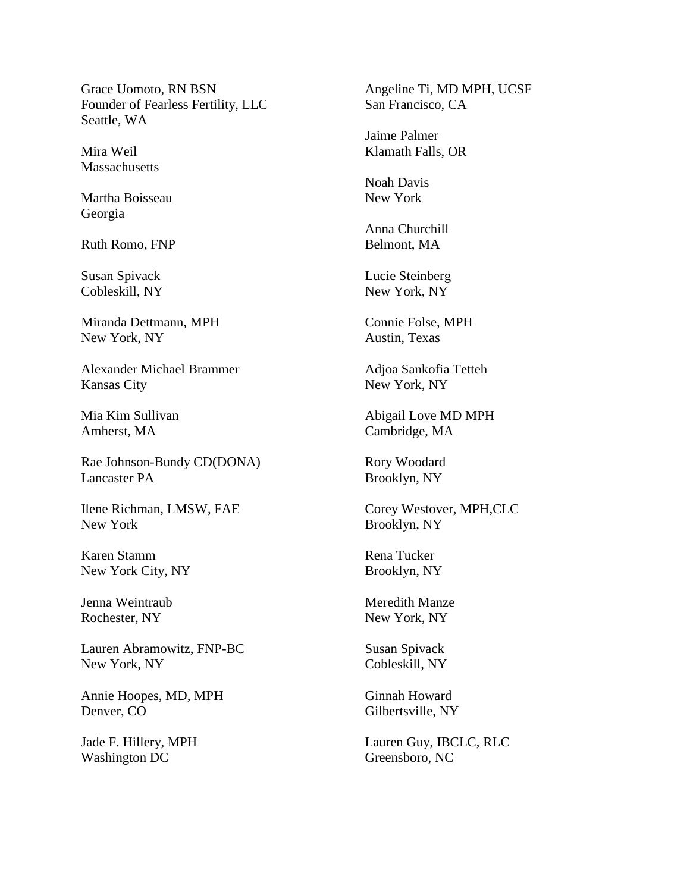Grace Uomoto, RN BSN Founder of Fearless Fertility, LLC Seattle, WA

Mira Weil **Massachusetts** 

Martha Boisseau Georgia

Ruth Romo, FNP

Susan Spivack Cobleskill, NY

Miranda Dettmann, MPH New York, NY

Alexander Michael Brammer Kansas City

Mia Kim Sullivan Amherst, MA

Rae Johnson-Bundy CD(DONA) Lancaster PA

Ilene Richman, LMSW, FAE New York

Karen Stamm New York City, NY

Jenna Weintraub Rochester, NY

Lauren Abramowitz, FNP-BC New York, NY

Annie Hoopes, MD, MPH Denver, CO

Jade F. Hillery, MPH Washington DC

Angeline Ti, MD MPH, UCSF San Francisco, CA

Jaime Palmer Klamath Falls, OR

Noah Davis New York

Anna Churchill Belmont, MA

Lucie Steinberg New York, NY

Connie Folse, MPH Austin, Texas

Adjoa Sankofia Tetteh New York, NY

Abigail Love MD MPH Cambridge, MA

Rory Woodard Brooklyn, NY

Corey Westover, MPH,CLC Brooklyn, NY

Rena Tucker Brooklyn, NY

Meredith Manze New York, NY

Susan Spivack Cobleskill, NY

Ginnah Howard Gilbertsville, NY

Lauren Guy, IBCLC, RLC Greensboro, NC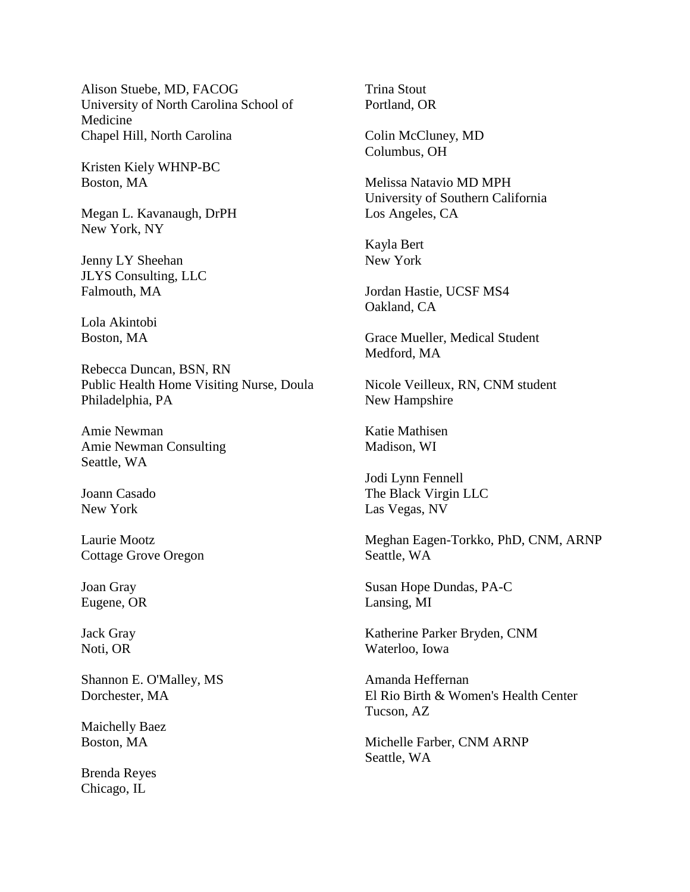Alison Stuebe, MD, FACOG University of North Carolina School of Medicine Chapel Hill, North Carolina

Kristen Kiely WHNP-BC Boston, MA

Megan L. Kavanaugh, DrPH New York, NY

Jenny LY Sheehan JLYS Consulting, LLC Falmouth, MA

Lola Akintobi Boston, MA

Rebecca Duncan, BSN, RN Public Health Home Visiting Nurse, Doula Philadelphia, PA

Amie Newman Amie Newman Consulting Seattle, WA

Joann Casado New York

Laurie Mootz Cottage Grove Oregon

Joan Gray Eugene, OR

Jack Gray Noti, OR

Shannon E. O'Malley, MS Dorchester, MA

Maichelly Baez Boston, MA

Brenda Reyes Chicago, IL

Trina Stout Portland, OR

Colin McCluney, MD Columbus, OH

Melissa Natavio MD MPH University of Southern California Los Angeles, CA

Kayla Bert New York

Jordan Hastie, UCSF MS4 Oakland, CA

Grace Mueller, Medical Student Medford, MA

Nicole Veilleux, RN, CNM student New Hampshire

Katie Mathisen Madison, WI

Jodi Lynn Fennell The Black Virgin LLC Las Vegas, NV

Meghan Eagen-Torkko, PhD, CNM, ARNP Seattle, WA

Susan Hope Dundas, PA-C Lansing, MI

Katherine Parker Bryden, CNM Waterloo, Iowa

Amanda Heffernan El Rio Birth & Women's Health Center Tucson, AZ

Michelle Farber, CNM ARNP Seattle, WA